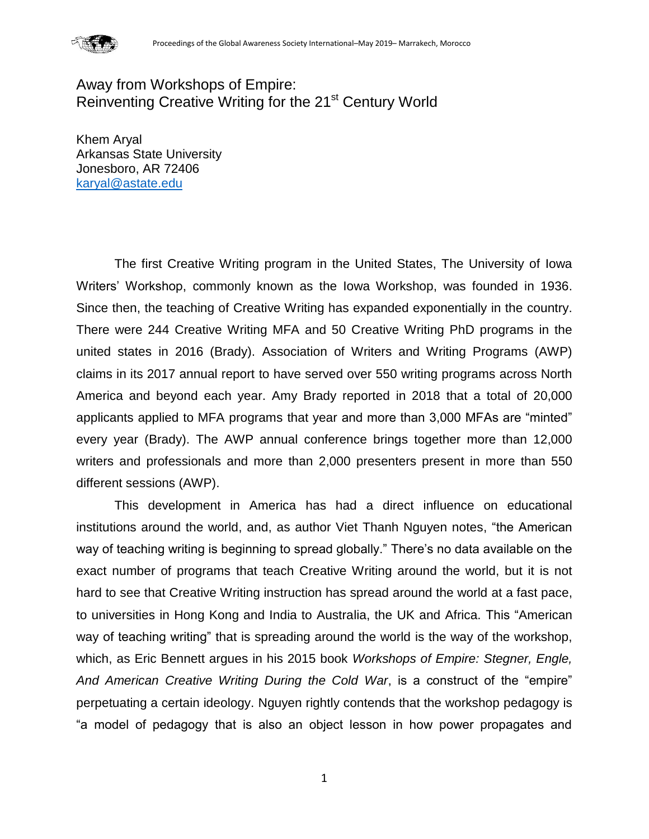

# Away from Workshops of Empire: Reinventing Creative Writing for the 21<sup>st</sup> Century World

Khem Aryal Arkansas State University Jonesboro, AR 72406 [karyal@astate.edu](mailto:karyal@astate.edu)

The first Creative Writing program in the United States, The University of Iowa Writers' Workshop, commonly known as the Iowa Workshop, was founded in 1936. Since then, the teaching of Creative Writing has expanded exponentially in the country. There were 244 Creative Writing MFA and 50 Creative Writing PhD programs in the united states in 2016 (Brady). Association of Writers and Writing Programs (AWP) claims in its 2017 annual report to have served over 550 writing programs across North America and beyond each year. Amy Brady reported in 2018 that a total of 20,000 applicants applied to MFA programs that year and more than 3,000 MFAs are "minted" every year (Brady). The AWP annual conference brings together more than 12,000 writers and professionals and more than 2,000 presenters present in more than 550 different sessions (AWP).

This development in America has had a direct influence on educational institutions around the world, and, as author Viet Thanh Nguyen notes, "the American way of teaching writing is beginning to spread globally." There's no data available on the exact number of programs that teach Creative Writing around the world, but it is not hard to see that Creative Writing instruction has spread around the world at a fast pace, to universities in Hong Kong and India to Australia, the UK and Africa. This "American way of teaching writing" that is spreading around the world is the way of the workshop, which, as Eric Bennett argues in his 2015 book *Workshops of Empire: Stegner, Engle, And American Creative Writing During the Cold War*, is a construct of the "empire" perpetuating a certain ideology. Nguyen rightly contends that the workshop pedagogy is "a model of pedagogy that is also an object lesson in how power propagates and

1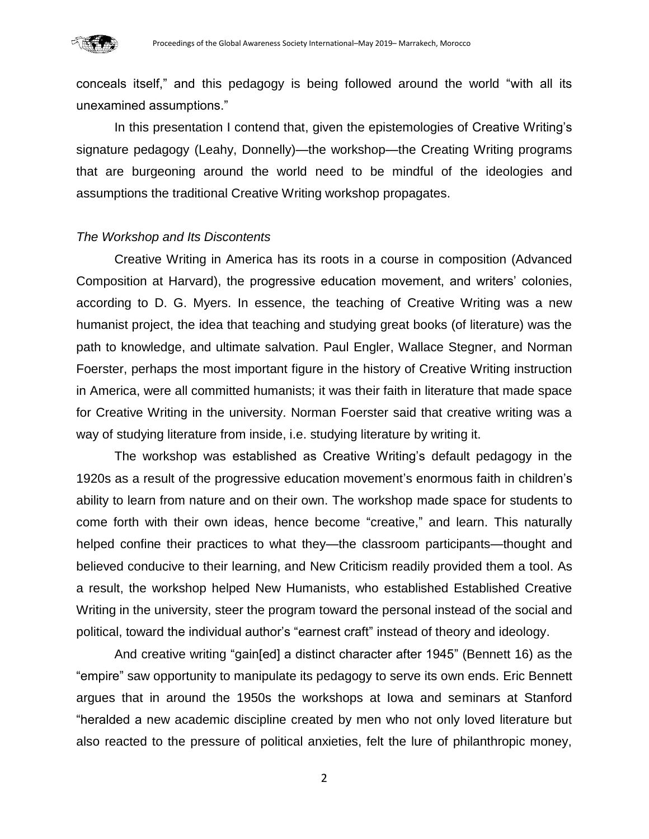

conceals itself," and this pedagogy is being followed around the world "with all its unexamined assumptions."

In this presentation I contend that, given the epistemologies of Creative Writing's signature pedagogy (Leahy, Donnelly)—the workshop—the Creating Writing programs that are burgeoning around the world need to be mindful of the ideologies and assumptions the traditional Creative Writing workshop propagates.

### *The Workshop and Its Discontents*

Creative Writing in America has its roots in a course in composition (Advanced Composition at Harvard), the progressive education movement, and writers' colonies, according to D. G. Myers. In essence, the teaching of Creative Writing was a new humanist project, the idea that teaching and studying great books (of literature) was the path to knowledge, and ultimate salvation. Paul Engler, Wallace Stegner, and Norman Foerster, perhaps the most important figure in the history of Creative Writing instruction in America, were all committed humanists; it was their faith in literature that made space for Creative Writing in the university. Norman Foerster said that creative writing was a way of studying literature from inside, i.e. studying literature by writing it.

The workshop was established as Creative Writing's default pedagogy in the 1920s as a result of the progressive education movement's enormous faith in children's ability to learn from nature and on their own. The workshop made space for students to come forth with their own ideas, hence become "creative," and learn. This naturally helped confine their practices to what they—the classroom participants—thought and believed conducive to their learning, and New Criticism readily provided them a tool. As a result, the workshop helped New Humanists, who established Established Creative Writing in the university, steer the program toward the personal instead of the social and political, toward the individual author's "earnest craft" instead of theory and ideology.

And creative writing "gain[ed] a distinct character after 1945" (Bennett 16) as the "empire" saw opportunity to manipulate its pedagogy to serve its own ends. Eric Bennett argues that in around the 1950s the workshops at Iowa and seminars at Stanford "heralded a new academic discipline created by men who not only loved literature but also reacted to the pressure of political anxieties, felt the lure of philanthropic money,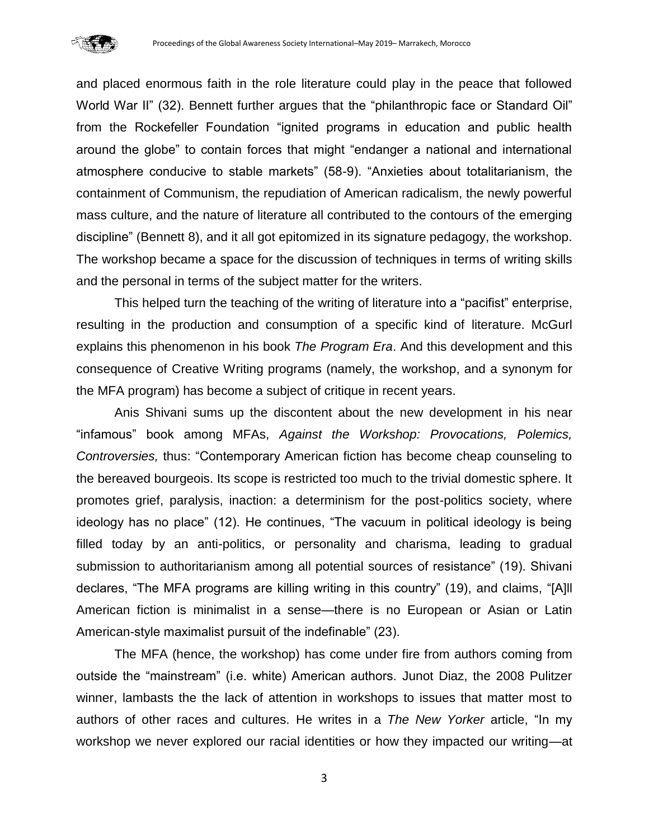

and placed enormous faith in the role literature could play in the peace that followed World War II" (32). Bennett further argues that the "philanthropic face or Standard Oil" from the Rockefeller Foundation "ignited programs in education and public health around the globe" to contain forces that might "endanger a national and international atmosphere conducive to stable markets" (58-9). "Anxieties about totalitarianism, the containment of Communism, the repudiation of American radicalism, the newly powerful mass culture, and the nature of literature all contributed to the contours of the emerging discipline" (Bennett 8), and it all got epitomized in its signature pedagogy, the workshop. The workshop became a space for the discussion of techniques in terms of writing skills and the personal in terms of the subject matter for the writers.

This helped turn the teaching of the writing of literature into a "pacifist" enterprise, resulting in the production and consumption of a specific kind of literature. McGurl explains this phenomenon in his book *The Program Era*. And this development and this consequence of Creative Writing programs (namely, the workshop, and a synonym for the MFA program) has become a subject of critique in recent years.

Anis Shivani sums up the discontent about the new development in his near "infamous" book among MFAs, *Against the Workshop: Provocations, Polemics, Controversies,* thus: "Contemporary American fiction has become cheap counseling to the bereaved bourgeois. Its scope is restricted too much to the trivial domestic sphere. It promotes grief, paralysis, inaction: a determinism for the post-politics society, where ideology has no place" (12). He continues, "The vacuum in political ideology is being filled today by an anti-politics, or personality and charisma, leading to gradual submission to authoritarianism among all potential sources of resistance" (19). Shivani declares, "The MFA programs are killing writing in this country" (19), and claims, "[A]ll American fiction is minimalist in a sense—there is no European or Asian or Latin American-style maximalist pursuit of the indefinable" (23).

The MFA (hence, the workshop) has come under fire from authors coming from outside the "mainstream" (i.e. white) American authors. Junot Diaz, the 2008 Pulitzer winner, lambasts the the lack of attention in workshops to issues that matter most to authors of other races and cultures. He writes in a *The New Yorker* article, "In my workshop we never explored our racial identities or how they impacted our writing—at

3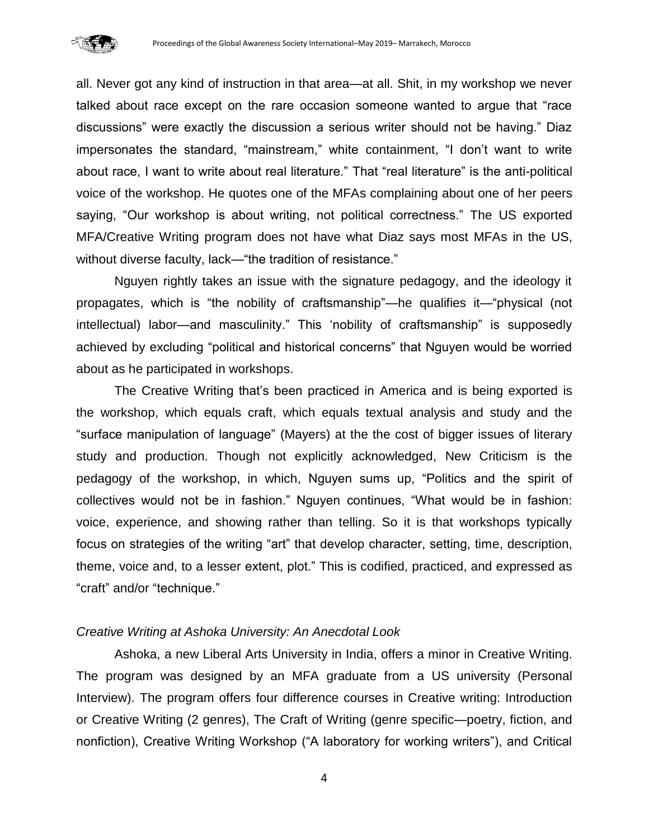

all. Never got any kind of instruction in that area—at all. Shit, in my workshop we never talked about race except on the rare occasion someone wanted to argue that "race discussions" were exactly the discussion a serious writer should not be having." Diaz impersonates the standard, "mainstream," white containment, "I don't want to write about race, I want to write about real literature." That "real literature" is the anti-political voice of the workshop. He quotes one of the MFAs complaining about one of her peers saying, "Our workshop is about writing, not political correctness." The US exported MFA/Creative Writing program does not have what Diaz says most MFAs in the US, without diverse faculty, lack—"the tradition of resistance."

Nguyen rightly takes an issue with the signature pedagogy, and the ideology it propagates, which is "the nobility of craftsmanship"—he qualifies it—"physical (not intellectual) labor—and masculinity." This 'nobility of craftsmanship" is supposedly achieved by excluding "political and historical concerns" that Nguyen would be worried about as he participated in workshops.

The Creative Writing that's been practiced in America and is being exported is the workshop, which equals craft, which equals textual analysis and study and the "surface manipulation of language" (Mayers) at the the cost of bigger issues of literary study and production. Though not explicitly acknowledged, New Criticism is the pedagogy of the workshop, in which, Nguyen sums up, "Politics and the spirit of collectives would not be in fashion." Nguyen continues, "What would be in fashion: voice, experience, and showing rather than telling. So it is that workshops typically focus on strategies of the writing "art" that develop character, setting, time, description, theme, voice and, to a lesser extent, plot." This is codified, practiced, and expressed as "craft" and/or "technique."

## *Creative Writing at Ashoka University: An Anecdotal Look*

Ashoka, a new Liberal Arts University in India, offers a minor in Creative Writing. The program was designed by an MFA graduate from a US university (Personal Interview). The program offers four difference courses in Creative writing: Introduction or Creative Writing (2 genres), The Craft of Writing (genre specific—poetry, fiction, and nonfiction), Creative Writing Workshop ("A laboratory for working writers"), and Critical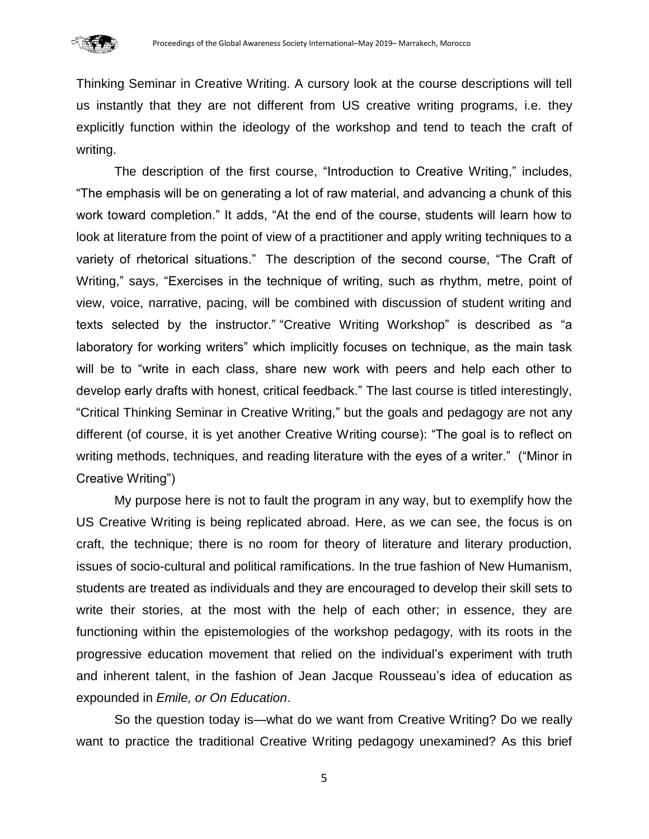

Thinking Seminar in Creative Writing. A cursory look at the course descriptions will tell us instantly that they are not different from US creative writing programs, i.e. they explicitly function within the ideology of the workshop and tend to teach the craft of writing.

The description of the first course, "Introduction to Creative Writing," includes, "The emphasis will be on generating a lot of raw material, and advancing a chunk of this work toward completion." It adds, "At the end of the course, students will learn how to look at literature from the point of view of a practitioner and apply writing techniques to a variety of rhetorical situations." The description of the second course, "The Craft of Writing," says, "Exercises in the technique of writing, such as rhythm, metre, point of view, voice, narrative, pacing, will be combined with discussion of student writing and texts selected by the instructor." "Creative Writing Workshop" is described as "a laboratory for working writers" which implicitly focuses on technique, as the main task will be to "write in each class, share new work with peers and help each other to develop early drafts with honest, critical feedback." The last course is titled interestingly, "Critical Thinking Seminar in Creative Writing," but the goals and pedagogy are not any different (of course, it is yet another Creative Writing course): "The goal is to reflect on writing methods, techniques, and reading literature with the eyes of a writer." ("Minor in Creative Writing")

My purpose here is not to fault the program in any way, but to exemplify how the US Creative Writing is being replicated abroad. Here, as we can see, the focus is on craft, the technique; there is no room for theory of literature and literary production, issues of socio-cultural and political ramifications. In the true fashion of New Humanism, students are treated as individuals and they are encouraged to develop their skill sets to write their stories, at the most with the help of each other; in essence, they are functioning within the epistemologies of the workshop pedagogy, with its roots in the progressive education movement that relied on the individual's experiment with truth and inherent talent, in the fashion of Jean Jacque Rousseau's idea of education as expounded in *Emile, or On Education*.

So the question today is—what do we want from Creative Writing? Do we really want to practice the traditional Creative Writing pedagogy unexamined? As this brief

5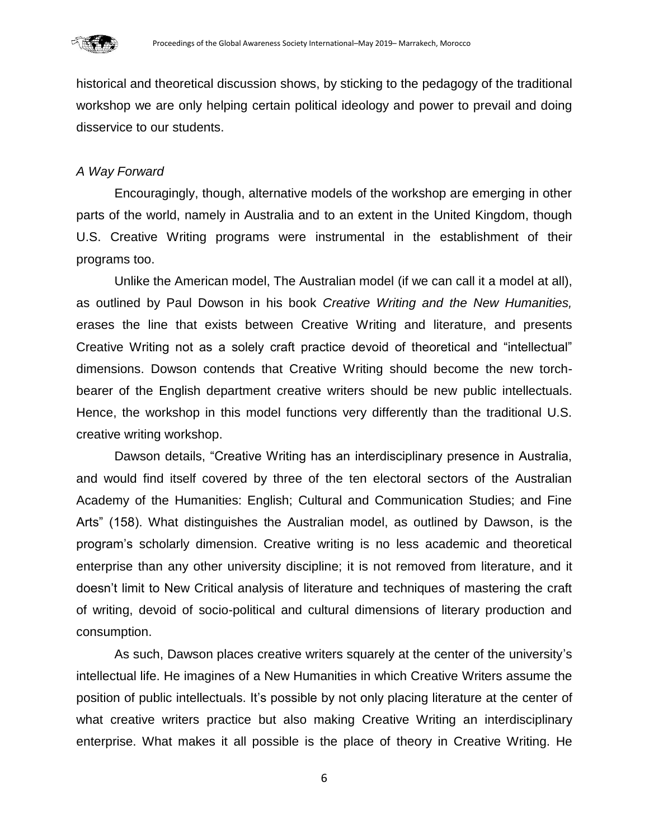

historical and theoretical discussion shows, by sticking to the pedagogy of the traditional workshop we are only helping certain political ideology and power to prevail and doing disservice to our students.

## *A Way Forward*

Encouragingly, though, alternative models of the workshop are emerging in other parts of the world, namely in Australia and to an extent in the United Kingdom, though U.S. Creative Writing programs were instrumental in the establishment of their programs too.

Unlike the American model, The Australian model (if we can call it a model at all), as outlined by Paul Dowson in his book *Creative Writing and the New Humanities,* erases the line that exists between Creative Writing and literature, and presents Creative Writing not as a solely craft practice devoid of theoretical and "intellectual" dimensions. Dowson contends that Creative Writing should become the new torchbearer of the English department creative writers should be new public intellectuals. Hence, the workshop in this model functions very differently than the traditional U.S. creative writing workshop.

Dawson details, "Creative Writing has an interdisciplinary presence in Australia, and would find itself covered by three of the ten electoral sectors of the Australian Academy of the Humanities: English; Cultural and Communication Studies; and Fine Arts" (158). What distinguishes the Australian model, as outlined by Dawson, is the program's scholarly dimension. Creative writing is no less academic and theoretical enterprise than any other university discipline; it is not removed from literature, and it doesn't limit to New Critical analysis of literature and techniques of mastering the craft of writing, devoid of socio-political and cultural dimensions of literary production and consumption.

As such, Dawson places creative writers squarely at the center of the university's intellectual life. He imagines of a New Humanities in which Creative Writers assume the position of public intellectuals. It's possible by not only placing literature at the center of what creative writers practice but also making Creative Writing an interdisciplinary enterprise. What makes it all possible is the place of theory in Creative Writing. He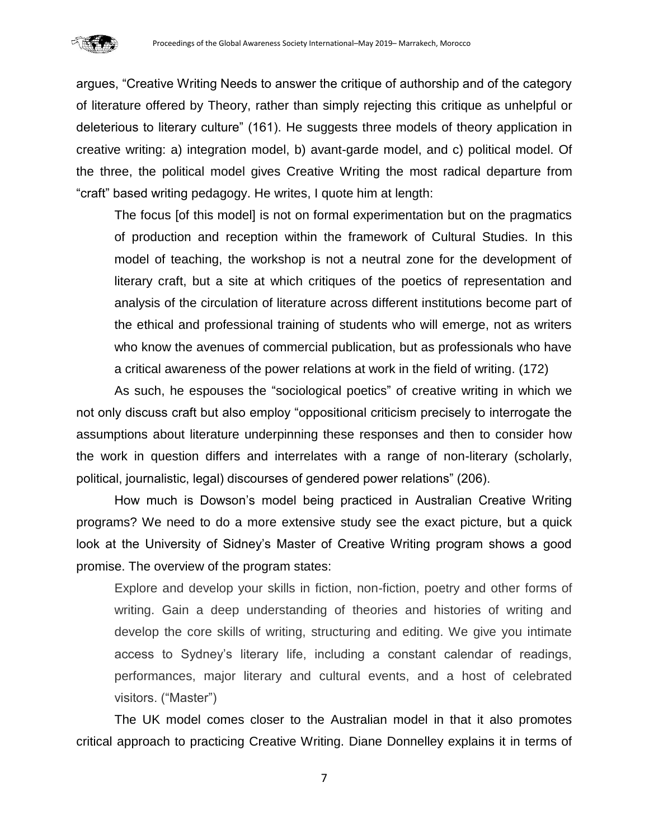

argues, "Creative Writing Needs to answer the critique of authorship and of the category of literature offered by Theory, rather than simply rejecting this critique as unhelpful or deleterious to literary culture" (161). He suggests three models of theory application in creative writing: a) integration model, b) avant-garde model, and c) political model. Of the three, the political model gives Creative Writing the most radical departure from "craft" based writing pedagogy. He writes, I quote him at length:

The focus [of this model] is not on formal experimentation but on the pragmatics of production and reception within the framework of Cultural Studies. In this model of teaching, the workshop is not a neutral zone for the development of literary craft, but a site at which critiques of the poetics of representation and analysis of the circulation of literature across different institutions become part of the ethical and professional training of students who will emerge, not as writers who know the avenues of commercial publication, but as professionals who have a critical awareness of the power relations at work in the field of writing. (172)

As such, he espouses the "sociological poetics" of creative writing in which we not only discuss craft but also employ "oppositional criticism precisely to interrogate the assumptions about literature underpinning these responses and then to consider how the work in question differs and interrelates with a range of non-literary (scholarly, political, journalistic, legal) discourses of gendered power relations" (206).

How much is Dowson's model being practiced in Australian Creative Writing programs? We need to do a more extensive study see the exact picture, but a quick look at the University of Sidney's Master of Creative Writing program shows a good promise. The overview of the program states:

Explore and develop your skills in fiction, non-fiction, poetry and other forms of writing. Gain a deep understanding of theories and histories of writing and develop the core skills of writing, structuring and editing. We give you intimate access to Sydney's literary life, including a constant calendar of readings, performances, major literary and cultural events, and a host of celebrated visitors. ("Master")

The UK model comes closer to the Australian model in that it also promotes critical approach to practicing Creative Writing. Diane Donnelley explains it in terms of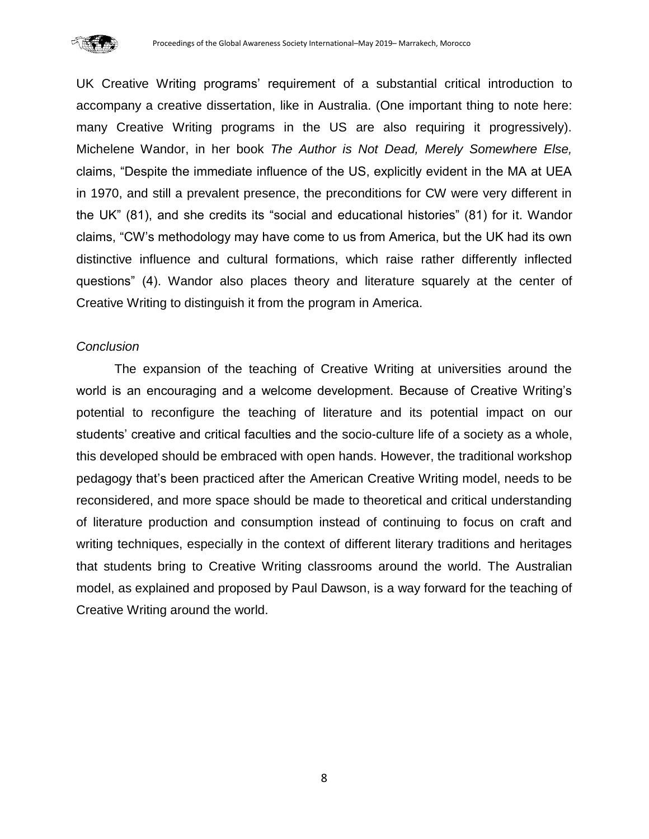

UK Creative Writing programs' requirement of a substantial critical introduction to accompany a creative dissertation, like in Australia. (One important thing to note here: many Creative Writing programs in the US are also requiring it progressively). Michelene Wandor, in her book *The Author is Not Dead, Merely Somewhere Else,*  claims, "Despite the immediate influence of the US, explicitly evident in the MA at UEA in 1970, and still a prevalent presence, the preconditions for CW were very different in the UK" (81), and she credits its "social and educational histories" (81) for it. Wandor claims, "CW's methodology may have come to us from America, but the UK had its own distinctive influence and cultural formations, which raise rather differently inflected questions" (4). Wandor also places theory and literature squarely at the center of Creative Writing to distinguish it from the program in America.

#### *Conclusion*

The expansion of the teaching of Creative Writing at universities around the world is an encouraging and a welcome development. Because of Creative Writing's potential to reconfigure the teaching of literature and its potential impact on our students' creative and critical faculties and the socio-culture life of a society as a whole, this developed should be embraced with open hands. However, the traditional workshop pedagogy that's been practiced after the American Creative Writing model, needs to be reconsidered, and more space should be made to theoretical and critical understanding of literature production and consumption instead of continuing to focus on craft and writing techniques, especially in the context of different literary traditions and heritages that students bring to Creative Writing classrooms around the world. The Australian model, as explained and proposed by Paul Dawson, is a way forward for the teaching of Creative Writing around the world.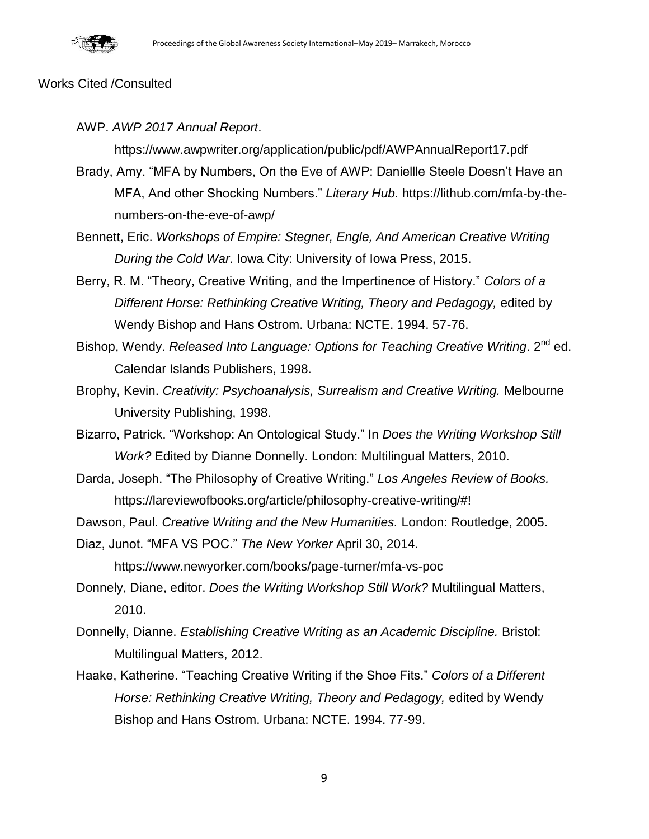

#### Works Cited /Consulted

AWP. *AWP 2017 Annual Report*.

https://www.awpwriter.org/application/public/pdf/AWPAnnualReport17.pdf

- Brady, Amy. "MFA by Numbers, On the Eve of AWP: Daniellle Steele Doesn't Have an MFA, And other Shocking Numbers." *Literary Hub.* https://lithub.com/mfa-by-thenumbers-on-the-eve-of-awp/
- Bennett, Eric. *Workshops of Empire: Stegner, Engle, And American Creative Writing During the Cold War*. Iowa City: University of Iowa Press, 2015.
- Berry, R. M. "Theory, Creative Writing, and the Impertinence of History." *Colors of a Different Horse: Rethinking Creative Writing, Theory and Pedagogy,* edited by Wendy Bishop and Hans Ostrom. Urbana: NCTE. 1994. 57-76.
- Bishop, Wendy. *Released Into Language: Options for Teaching Creative Writing*. 2<sup>nd</sup> ed. Calendar Islands Publishers, 1998.
- Brophy, Kevin. *Creativity: Psychoanalysis, Surrealism and Creative Writing.* Melbourne University Publishing, 1998.
- Bizarro, Patrick. "Workshop: An Ontological Study." In *Does the Writing Workshop Still Work?* Edited by Dianne Donnelly. London: Multilingual Matters, 2010.
- Darda, Joseph. "The Philosophy of Creative Writing." *Los Angeles Review of Books.*  https://lareviewofbooks.org/article/philosophy-creative-writing/#!
- Dawson, Paul. *Creative Writing and the New Humanities.* London: Routledge, 2005.

Diaz, Junot. "MFA VS POC." *The New Yorker* April 30, 2014.

https://www.newyorker.com/books/page-turner/mfa-vs-poc

- Donnely, Diane, editor. *Does the Writing Workshop Still Work?* Multilingual Matters, 2010.
- Donnelly, Dianne. *Establishing Creative Writing as an Academic Discipline.* Bristol: Multilingual Matters, 2012.
- Haake, Katherine. "Teaching Creative Writing if the Shoe Fits." *Colors of a Different*  Horse: Rethinking Creative Writing, Theory and Pedagogy, edited by Wendy Bishop and Hans Ostrom. Urbana: NCTE. 1994. 77-99.